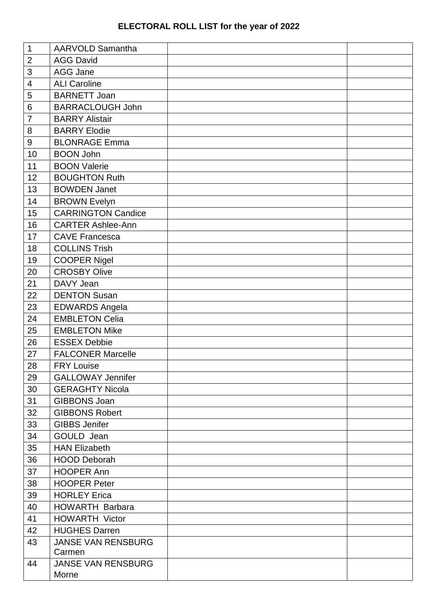## **ELECTORAL ROLL LIST for the year of 2022**

| $\mathbf{1}$             | AARVOLD Samantha          |  |
|--------------------------|---------------------------|--|
| $\mathbf 2$              | <b>AGG David</b>          |  |
| 3                        | AGG Jane                  |  |
| $\overline{\mathcal{A}}$ | <b>ALI Caroline</b>       |  |
| 5                        | <b>BARNETT Joan</b>       |  |
| 6                        | <b>BARRACLOUGH John</b>   |  |
| $\overline{7}$           | <b>BARRY Alistair</b>     |  |
| 8                        | <b>BARRY Elodie</b>       |  |
| $\boldsymbol{9}$         | <b>BLONRAGE Emma</b>      |  |
| 10                       | <b>BOON John</b>          |  |
| 11                       | <b>BOON Valerie</b>       |  |
| 12                       | <b>BOUGHTON Ruth</b>      |  |
| 13                       | <b>BOWDEN Janet</b>       |  |
| 14                       | <b>BROWN Evelyn</b>       |  |
| 15                       | <b>CARRINGTON Candice</b> |  |
| 16                       | <b>CARTER Ashlee-Ann</b>  |  |
| 17                       | <b>CAVE Francesca</b>     |  |
| 18                       | <b>COLLINS Trish</b>      |  |
| 19                       | <b>COOPER Nigel</b>       |  |
| 20                       | <b>CROSBY Olive</b>       |  |
| 21                       | DAVY Jean                 |  |
| 22                       | <b>DENTON Susan</b>       |  |
| 23                       | <b>EDWARDS Angela</b>     |  |
| 24                       | <b>EMBLETON Celia</b>     |  |
| 25                       | <b>EMBLETON Mike</b>      |  |
| 26                       | <b>ESSEX Debbie</b>       |  |
| 27                       | <b>FALCONER Marcelle</b>  |  |
| 28                       | <b>FRY Louise</b>         |  |
| 29                       | <b>GALLOWAY Jennifer</b>  |  |
| 30                       | <b>GERAGHTY Nicola</b>    |  |
| 31                       | <b>GIBBONS Joan</b>       |  |
| 32                       | <b>GIBBONS Robert</b>     |  |
| 33                       | <b>GIBBS Jenifer</b>      |  |
| 34                       | GOULD Jean                |  |
| 35                       | <b>HAN Elizabeth</b>      |  |
| 36                       | <b>HOOD Deborah</b>       |  |
| 37                       | <b>HOOPER Ann</b>         |  |
| 38                       | <b>HOOPER Peter</b>       |  |
| 39                       | <b>HORLEY Erica</b>       |  |
| 40                       | <b>HOWARTH Barbara</b>    |  |
| 41                       | <b>HOWARTH Victor</b>     |  |
| 42                       | <b>HUGHES Darren</b>      |  |
| 43                       | <b>JANSE VAN RENSBURG</b> |  |
|                          | Carmen                    |  |
| 44                       | <b>JANSE VAN RENSBURG</b> |  |
|                          | Morne                     |  |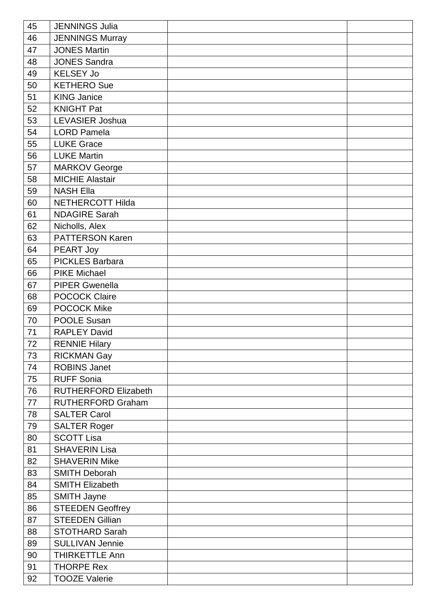| 45 | <b>JENNINGS Julia</b>       |  |
|----|-----------------------------|--|
| 46 | <b>JENNINGS Murray</b>      |  |
| 47 | <b>JONES Martin</b>         |  |
| 48 | <b>JONES Sandra</b>         |  |
| 49 | <b>KELSEY Jo</b>            |  |
| 50 | <b>KETHERO Sue</b>          |  |
| 51 | <b>KING Janice</b>          |  |
| 52 | <b>KNIGHT Pat</b>           |  |
| 53 | LEVASIER Joshua             |  |
| 54 | <b>LORD Pamela</b>          |  |
| 55 | <b>LUKE Grace</b>           |  |
| 56 | <b>LUKE Martin</b>          |  |
| 57 | <b>MARKOV George</b>        |  |
| 58 | <b>MICHIE Alastair</b>      |  |
| 59 | <b>NASH Ella</b>            |  |
| 60 | NETHERCOTT Hilda            |  |
| 61 | <b>NDAGIRE Sarah</b>        |  |
| 62 | Nicholls, Alex              |  |
| 63 | <b>PATTERSON Karen</b>      |  |
| 64 | PEART Joy                   |  |
| 65 | <b>PICKLES Barbara</b>      |  |
| 66 | <b>PIKE Michael</b>         |  |
| 67 | <b>PIPER Gwenella</b>       |  |
| 68 | <b>POCOCK Claire</b>        |  |
| 69 | <b>POCOCK Mike</b>          |  |
| 70 | POOLE Susan                 |  |
| 71 | <b>RAPLEY David</b>         |  |
| 72 | <b>RENNIE Hilary</b>        |  |
| 73 | <b>RICKMAN Gay</b>          |  |
| 74 | <b>ROBINS Janet</b>         |  |
| 75 | <b>RUFF Sonia</b>           |  |
| 76 | <b>RUTHERFORD Elizabeth</b> |  |
| 77 | <b>RUTHERFORD Graham</b>    |  |
| 78 | <b>SALTER Carol</b>         |  |
| 79 | <b>SALTER Roger</b>         |  |
| 80 | <b>SCOTT Lisa</b>           |  |
| 81 | <b>SHAVERIN Lisa</b>        |  |
| 82 | <b>SHAVERIN Mike</b>        |  |
| 83 | <b>SMITH Deborah</b>        |  |
| 84 | <b>SMITH Elizabeth</b>      |  |
| 85 | <b>SMITH Jayne</b>          |  |
| 86 | <b>STEEDEN Geoffrey</b>     |  |
| 87 | <b>STEEDEN Gillian</b>      |  |
| 88 | <b>STOTHARD Sarah</b>       |  |
| 89 | <b>SULLIVAN Jennie</b>      |  |
| 90 | <b>THIRKETTLE Ann</b>       |  |
| 91 | <b>THORPE Rex</b>           |  |
| 92 | <b>TOOZE Valerie</b>        |  |